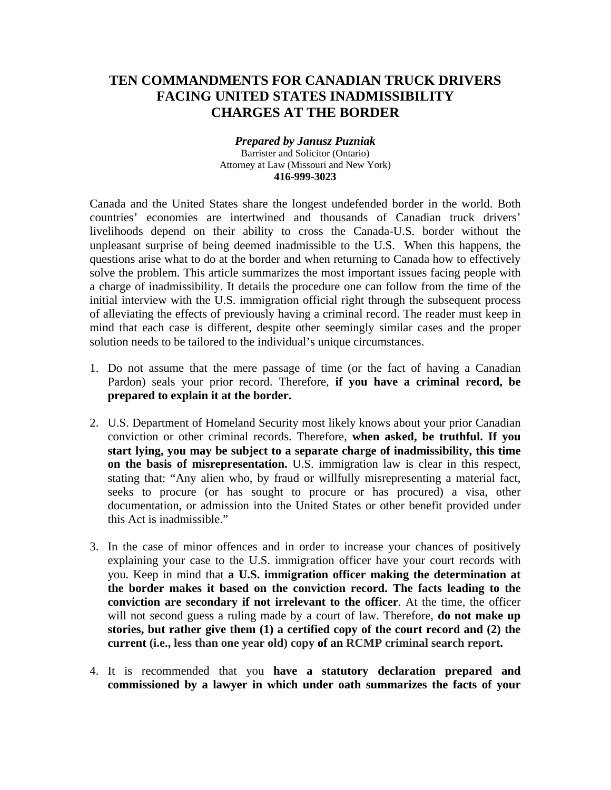# **TEN COMMANDMENTS FOR CANADIAN TRUCK DRIVERS FACING UNITED STATES INADMISSIBILITY CHARGES AT THE BORDER**

#### *Prepared by Janusz Puzniak*  Barrister and Solicitor (Ontario) Attorney at Law (Missouri and New York) **416-999-3023**

Canada and the United States share the longest undefended border in the world. Both countries' economies are intertwined and thousands of Canadian truck drivers' livelihoods depend on their ability to cross the Canada-U.S. border without the unpleasant surprise of being deemed inadmissible to the U.S. When this happens, the questions arise what to do at the border and when returning to Canada how to effectively solve the problem. This article summarizes the most important issues facing people with a charge of inadmissibility. It details the procedure one can follow from the time of the initial interview with the U.S. immigration official right through the subsequent process of alleviating the effects of previously having a criminal record. The reader must keep in mind that each case is different, despite other seemingly similar cases and the proper solution needs to be tailored to the individual's unique circumstances.

- 1. Do not assume that the mere passage of time (or the fact of having a Canadian Pardon) seals your prior record. Therefore, **if you have a criminal record, be prepared to explain it at the border.**
- 2. U.S. Department of Homeland Security most likely knows about your prior Canadian conviction or other criminal records. Therefore, **when asked, be truthful. If you start lying, you may be subject to a separate charge of inadmissibility, this time on the basis of misrepresentation.** U.S. immigration law is clear in this respect, stating that: "Any alien who, by fraud or willfully misrepresenting a material fact, seeks to procure (or has sought to procure or has procured) a visa, other documentation, or admission into the United States or other benefit provided under this Act is inadmissible."
- 3. In the case of minor offences and in order to increase your chances of positively explaining your case to the U.S. immigration officer have your court records with you. Keep in mind that **a U.S. immigration officer making the determination at the border makes it based on the conviction record. The facts leading to the conviction are secondary if not irrelevant to the officer**. At the time, the officer will not second guess a ruling made by a court of law. Therefore, **do not make up stories, but rather give them (1) a certified copy of the court record and (2) the current (i.e., less than one year old) copy of an RCMP criminal search report.**
- 4. It is recommended that you **have a statutory declaration prepared and commissioned by a lawyer in which under oath summarizes the facts of your**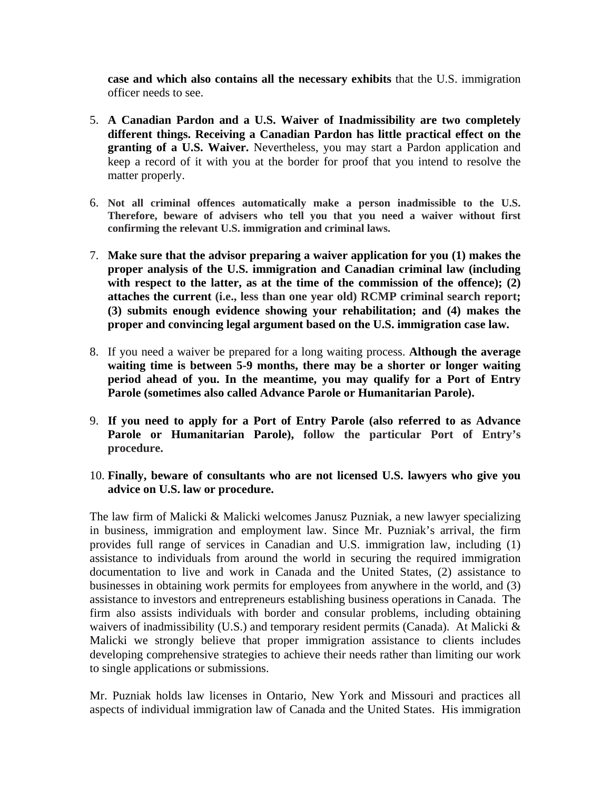**case and which also contains all the necessary exhibits** that the U.S. immigration officer needs to see.

- 5. **A Canadian Pardon and a U.S. Waiver of Inadmissibility are two completely different things. Receiving a Canadian Pardon has little practical effect on the granting of a U.S. Waiver.** Nevertheless, you may start a Pardon application and keep a record of it with you at the border for proof that you intend to resolve the matter properly.
- 6. **Not all criminal offences automatically make a person inadmissible to the U.S. Therefore, beware of advisers who tell you that you need a waiver without first confirming the relevant U.S. immigration and criminal laws.**
- 7. **Make sure that the advisor preparing a waiver application for you (1) makes the proper analysis of the U.S. immigration and Canadian criminal law (including**  with respect to the latter, as at the time of the commission of the offence); (2) **attaches the current (i.e., less than one year old) RCMP criminal search report; (3) submits enough evidence showing your rehabilitation; and (4) makes the proper and convincing legal argument based on the U.S. immigration case law.**
- 8. If you need a waiver be prepared for a long waiting process. **Although the average waiting time is between 5-9 months, there may be a shorter or longer waiting period ahead of you. In the meantime, you may qualify for a Port of Entry Parole (sometimes also called Advance Parole or Humanitarian Parole).**
- 9. **If you need to apply for a Port of Entry Parole (also referred to as Advance Parole or Humanitarian Parole), follow the particular Port of Entry's procedure.**
- 10. **Finally, beware of consultants who are not licensed U.S. lawyers who give you advice on U.S. law or procedure.**

The law firm of Malicki & Malicki welcomes Janusz Puzniak, a new lawyer specializing in business, immigration and employment law. Since Mr. Puzniak's arrival, the firm provides full range of services in Canadian and U.S. immigration law, including (1) assistance to individuals from around the world in securing the required immigration documentation to live and work in Canada and the United States, (2) assistance to businesses in obtaining work permits for employees from anywhere in the world, and (3) assistance to investors and entrepreneurs establishing business operations in Canada. The firm also assists individuals with border and consular problems, including obtaining waivers of inadmissibility (U.S.) and temporary resident permits (Canada). At Malicki  $\&$ Malicki we strongly believe that proper immigration assistance to clients includes developing comprehensive strategies to achieve their needs rather than limiting our work to single applications or submissions.

Mr. Puzniak holds law licenses in Ontario, New York and Missouri and practices all aspects of individual immigration law of Canada and the United States. His immigration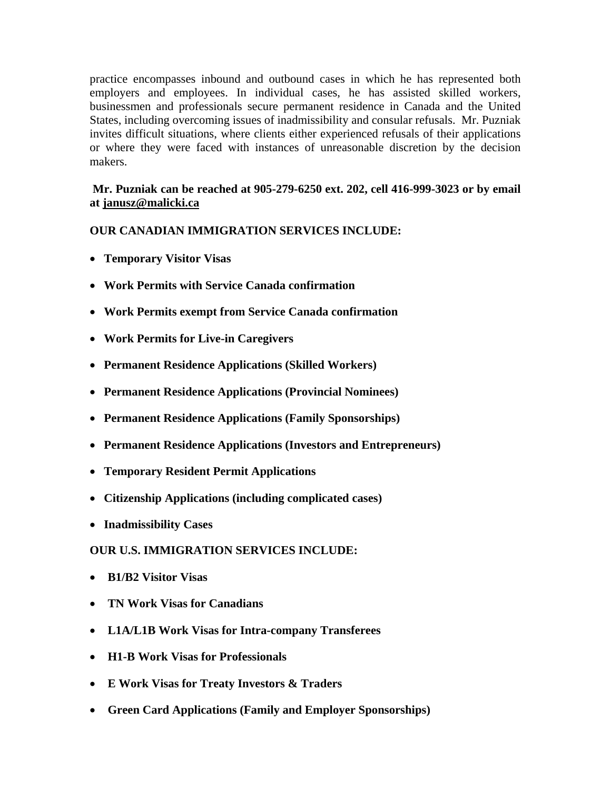practice encompasses inbound and outbound cases in which he has represented both employers and employees. In individual cases, he has assisted skilled workers, businessmen and professionals secure permanent residence in Canada and the United States, including overcoming issues of inadmissibility and consular refusals. Mr. Puzniak invites difficult situations, where clients either experienced refusals of their applications or where they were faced with instances of unreasonable discretion by the decision makers.

### **Mr. Puzniak can be reached at 905-279-6250 ext. 202, cell 416-999-3023 or by email at [janusz@malicki.ca](mailto:janusz@malicki.ca)**

# **OUR CANADIAN IMMIGRATION SERVICES INCLUDE:**

- **Temporary Visitor Visas**
- **Work Permits with Service Canada confirmation**
- **Work Permits exempt from Service Canada confirmation**
- **Work Permits for Live-in Caregivers**
- **Permanent Residence Applications (Skilled Workers)**
- **Permanent Residence Applications (Provincial Nominees)**
- **Permanent Residence Applications (Family Sponsorships)**
- **Permanent Residence Applications (Investors and Entrepreneurs)**
- **Temporary Resident Permit Applications**
- **Citizenship Applications (including complicated cases)**
- **Inadmissibility Cases**

# **OUR U.S. IMMIGRATION SERVICES INCLUDE:**

- **B1/B2 Visitor Visas**
- **TN Work Visas for Canadians**
- **L1A/L1B Work Visas for Intra-company Transferees**
- **H1-B Work Visas for Professionals**
- **E Work Visas for Treaty Investors & Traders**
- **Green Card Applications (Family and Employer Sponsorships)**